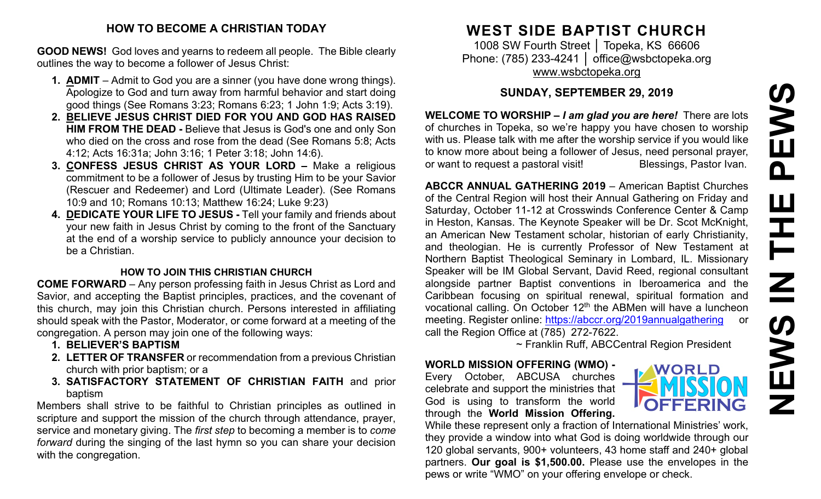# **HOW TO BECOME A CHRISTIAN TODAY**

**GOOD NEWS!** God loves and yearns to redeem all people. The Bible clearly outlines the way to become a follower of Jesus Christ:

- **1. ADMIT** Admit to God you are a sinner (you have done wrong things). Apologize to God and turn away from harmful behavior and start doing good things (See Romans 3:23; Romans 6:23; 1 John 1:9; Acts 3:19).
- **2. BELIEVE JESUS CHRIST DIED FOR YOU AND GOD HAS RAISED HIM FROM THE DEAD -** Believe that Jesus is God's one and only Son who died on the cross and rose from the dead (See Romans 5:8; Acts 4:12; Acts 16:31a; John 3:16; 1 Peter 3:18; John 14:6).
- **3. CONFESS JESUS CHRIST AS YOUR LORD –** Make a religious commitment to be a follower of Jesus by trusting Him to be your Savior (Rescuer and Redeemer) and Lord (Ultimate Leader). (See Romans 10:9 and 10; Romans 10:13; Matthew 16:24; Luke 9:23)
- **4. DEDICATE YOUR LIFE TO JESUS -** Tell your family and friends about your new faith in Jesus Christ by coming to the front of the Sanctuary at the end of a worship service to publicly announce your decision to be a Christian.

## **HOW TO JOIN THIS CHRISTIAN CHURCH**

**COME FORWARD** – Any person professing faith in Jesus Christ as Lord and Savior, and accepting the Baptist principles, practices, and the covenant of this church, may join this Christian church. Persons interested in affiliating should speak with the Pastor, Moderator, or come forward at a meeting of the congregation. A person may join one of the following ways:

- **1. BELIEVER'S BAPTISM**
- **2. LETTER OF TRANSFER** or recommendation from a previous Christian church with prior baptism; or a
- **3. SATISFACTORY STATEMENT OF CHRISTIAN FAITH** and prior baptism

Members shall strive to be faithful to Christian principles as outlined in scripture and support the mission of the church through attendance, prayer, service and monetary giving. The *first step* to becoming a member is to *come forward* during the singing of the last hymn so you can share your decision with the congregation.

# **WEST SIDE BAPTIST CHURCH**

1008 SW Fourth Street | Topeka, KS 66606 Phone: (785) 233-4241 │ [office@wsbctopeka.org](mailto:office@wsbctopeka.org) [www.wsbctopeka.org](http://www.wsbctopeka.org/)

# **SUNDAY, SEPTEMBER 29, 2019**

**WELCOME TO WORSHIP –** *I am glad you are here!* There are lots of churches in Topeka, so we're happy you have chosen to worship with us. Please talk with me after the worship service if you would like to know more about being a follower of Jesus, need personal prayer, or want to request a pastoral visit!<br>
Blessings, Pastor Ivan.

**ABCCR ANNUAL GATHERING 2019** – American Baptist Churches of the Central Region will host their Annual Gathering on Friday and Saturday, October 11-12 at Crosswinds Conference Center & Camp in Heston, Kansas. The Keynote Speaker will be Dr. Scot McKnight, an American New Testament scholar, historian of early Christianity, and theologian. He is currently Professor of New Testament at Northern Baptist Theological Seminary in Lombard, IL. Missionary Speaker will be IM Global Servant, David Reed, regional consultant alongside partner Baptist conventions in Iberoamerica and the Caribbean focusing on spiritual renewal, spiritual formation and vocational calling. On October 12<sup>th</sup> the ABMen will have a luncheon meeting. Register online: <https://abccr.org/2019annualgathering> or call the Region Office at (785) 272-7622.

~ Franklin Ruff, ABCCentral Region President

#### **WORLD MISSION OFFERING (WMO) -** Every October, ABCUSA churches celebrate and support the ministries that God is using to transform the world through the **World Mission Offering.**



While these represent only a fraction of International Ministries' work, they provide a window into what God is doing worldwide through our 120 global servants, 900+ volunteers, 43 home staff and 240+ global partners. **Our goal is \$1,500.00.** Please use the envelopes in the pews or write "WMO" on your offering envelope or check.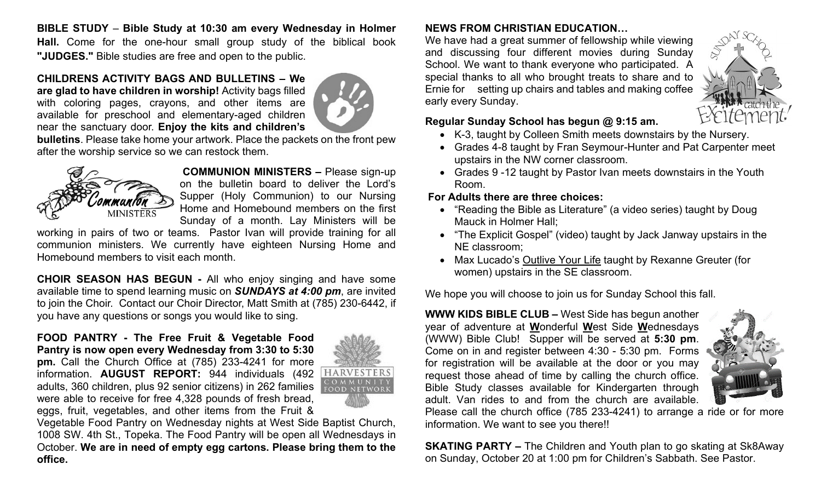**BIBLE STUDY** – **Bible Study at 10:30 am every Wednesday in Holmer Hall.** Come for the one-hour small group study of the biblical book **"JUDGES."** Bible studies are free and open to the public.

#### **CHILDRENS ACTIVITY BAGS AND BULLETINS – We are glad to have children in worship!** Activity bags filled

with coloring pages, crayons, and other items are available for preschool and elementary-aged children near the sanctuary door. **Enjoy the kits and children's** 



**bulletins**. Please take home your artwork. Place the packets on the front pew after the worship service so we can restock them.



**COMMUNION MINISTERS –** Please sign-up on the bulletin board to deliver the Lord's Supper (Holy Communion) to our Nursing Home and Homebound members on the first Sunday of a month. Lay Ministers will be

working in pairs of two or teams. Pastor Ivan will provide training for all communion ministers. We currently have eighteen Nursing Home and Homebound members to visit each month.

**CHOIR SEASON HAS BEGUN -** All who enjoy singing and have some available time to spend learning music on *SUNDAYS at 4:00 pm*, are invited to join the Choir. Contact our Choir Director, Matt Smith at (785) 230-6442, if you have any questions or songs you would like to sing.

#### **FOOD PANTRY - The Free Fruit & Vegetable Food Pantry is now open every Wednesday from 3:30 to 5:30 pm.** Call the Church Office at (785) 233-4241 for more

information. **AUGUST REPORT:** 944 individuals (492 adults, 360 children, plus 92 senior citizens) in 262 families were able to receive for free 4,328 pounds of fresh bread, eggs, fruit, vegetables, and other items from the Fruit &



Vegetable Food Pantry on Wednesday nights at West Side Baptist Church, 1008 SW. 4th St., Topeka. The Food Pantry will be open all Wednesdays in October. **We are in need of empty egg cartons. Please bring them to the office.**

# **NEWS FROM CHRISTIAN EDUCATION…**

We have had a great summer of fellowship while viewing and discussing four different movies during Sunday School. We want to thank everyone who participated. A special thanks to all who brought treats to share and to Ernie for setting up chairs and tables and making coffee early every Sunday.



# **Regular Sunday School has begun @ 9:15 am.**

- K-3, taught by Colleen Smith meets downstairs by the Nursery.
- Grades 4-8 taught by Fran Seymour-Hunter and Pat Carpenter meet upstairs in the NW corner classroom.
- Grades 9 -12 taught by Pastor Ivan meets downstairs in the Youth Room.

# **For Adults there are three choices:**

- "Reading the Bible as Literature" (a video series) taught by Doug Mauck in Holmer Hall;
- "The Explicit Gospel" (video) taught by Jack Janway upstairs in the NE classroom;
- Max Lucado's Outlive Your Life taught by Rexanne Greuter (for women) upstairs in the SE classroom.

We hope you will choose to join us for Sunday School this fall.

**WWW KIDS BIBLE CLUB –** West Side has begun another year of adventure at **W**onderful **W**est Side **W**ednesdays (WWW) Bible Club! Supper will be served at **5:30 pm**. Come on in and register between 4:30 - 5:30 pm. Forms for registration will be available at the door or you may request those ahead of time by calling the church office. Bible Study classes available for Kindergarten through adult. Van rides to and from the church are available.



Please call the church office (785 233-4241) to arrange a ride or for more information. We want to see you there!!

**SKATING PARTY –** The Children and Youth plan to go skating at Sk8Away on Sunday, October 20 at 1:00 pm for Children's Sabbath. See Pastor.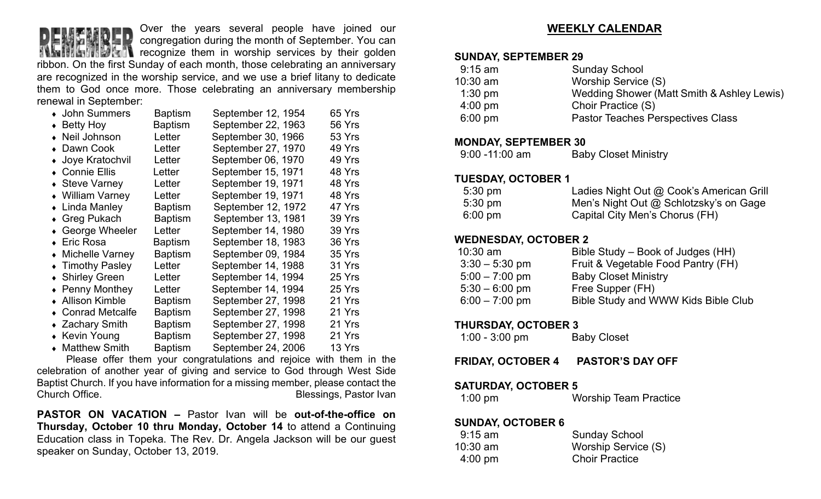

Over the years several people have joined our congregation during the month of September. You can

**The I**ntercognize them in worship services by their golden ribbon. On the first Sunday of each month, those celebrating an anniversary are recognized in the worship service, and we use a brief litany to dedicate them to God once more. Those celebrating an anniversary membership renewal in September:

| • John Summers      | <b>Baptism</b> | September 12, 1954 | 65 Yrs |
|---------------------|----------------|--------------------|--------|
| $\bullet$ Betty Hoy | <b>Baptism</b> | September 22, 1963 | 56 Yrs |
| • Neil Johnson      | Letter         | September 30, 1966 | 53 Yrs |
| • Dawn Cook         | Letter         | September 27, 1970 | 49 Yrs |
| • Joye Kratochvil   | Letter         | September 06, 1970 | 49 Yrs |
| • Connie Ellis      | Letter         | September 15, 1971 | 48 Yrs |
| • Steve Varney      | Letter         | September 19, 1971 | 48 Yrs |
| • William Varney    | Letter         | September 19, 1971 | 48 Yrs |
| • Linda Manley      | <b>Baptism</b> | September 12, 1972 | 47 Yrs |
| ◆ Greg Pukach       | <b>Baptism</b> | September 13, 1981 | 39 Yrs |
| ◆ George Wheeler    | Letter         | September 14, 1980 | 39 Yrs |
| ◆ Eric Rosa         | Baptism        | September 18, 1983 | 36 Yrs |
| • Michelle Varney   | <b>Baptism</b> | September 09, 1984 | 35 Yrs |
| • Timothy Pasley    | Letter         | September 14, 1988 | 31 Yrs |
| ◆ Shirley Green     | Letter         | September 14, 1994 | 25 Yrs |
| • Penny Monthey     | Letter         | September 14, 1994 | 25 Yrs |
| ◆ Allison Kimble    | <b>Baptism</b> | September 27, 1998 | 21 Yrs |
| • Conrad Metcalfe   | <b>Baptism</b> | September 27, 1998 | 21 Yrs |
| ◆ Zachary Smith     | <b>Baptism</b> | September 27, 1998 | 21 Yrs |
| • Kevin Young       | <b>Baptism</b> | September 27, 1998 | 21 Yrs |
| • Matthew Smith     | <b>Baptism</b> | September 24, 2006 | 13 Yrs |

Please offer them your congratulations and rejoice with them in the celebration of another year of giving and service to God through West Side Baptist Church. If you have information for a missing member, please contact the Church Office. **Blessings, Pastor Ivan** 

**PASTOR ON VACATION –** Pastor Ivan will be **out-of-the-office on Thursday, October 10 thru Monday, October 14** to attend a Continuing Education class in Topeka. The Rev. Dr. Angela Jackson will be our guest speaker on Sunday, October 13, 2019.

## **WEEKLY CALENDAR**

#### **SUNDAY, SEPTEMBER 29**

| $9:15$ am         | <b>Sunday School</b>                       |
|-------------------|--------------------------------------------|
| $10:30$ am        | Worship Service (S)                        |
| $1:30$ pm         | Wedding Shower (Matt Smith & Ashley Lewis) |
| $4:00 \text{ pm}$ | Choir Practice (S)                         |
| $6:00 \text{ pm}$ | <b>Pastor Teaches Perspectives Class</b>   |
|                   |                                            |

#### **MONDAY, SEPTEMBER 30**

| $9:00 - 11:00$ am | <b>Baby Closet Ministry</b> |
|-------------------|-----------------------------|
|-------------------|-----------------------------|

#### **TUESDAY, OCTOBER 1**

| $5:30 \text{ pm}$ | Ladies Night Out @ Cook's American Grill |
|-------------------|------------------------------------------|
| $5:30 \text{ pm}$ | Men's Night Out @ Schlotzsky's on Gage   |
| $6:00 \text{ pm}$ | Capital City Men's Chorus (FH)           |

## **WEDNESDAY, OCTOBER 2**

| $10:30$ am       | Bible Study – Book of Judges (HH)   |
|------------------|-------------------------------------|
| $3:30 - 5:30$ pm | Fruit & Vegetable Food Pantry (FH)  |
| $5:00 - 7:00$ pm | <b>Baby Closet Ministry</b>         |
| $5:30 - 6:00$ pm | Free Supper (FH)                    |
| $6:00 - 7:00$ pm | Bible Study and WWW Kids Bible Club |

## **THURSDAY, OCTOBER 3**

| $1:00 - 3:00$ pm | <b>Baby Closet</b> |
|------------------|--------------------|
|------------------|--------------------|

**FRIDAY, OCTOBER 4 PASTOR'S DAY OFF**

### **SATURDAY, OCTOBER 5**

1:00 pm Worship Team Practice

### **SUNDAY, OCTOBER 6**

| <b>Sunday School</b>  |
|-----------------------|
| Worship Service (S)   |
| <b>Choir Practice</b> |
|                       |